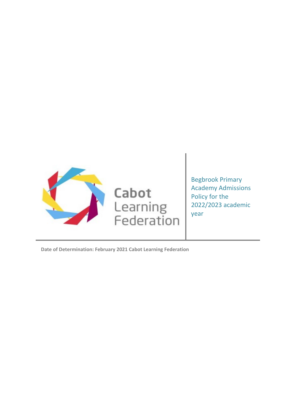

Begbrook Primary Academy Admissions Policy for the 2022/2023 academic year

**Date of Determination: February 2021 Cabot Learning Federation**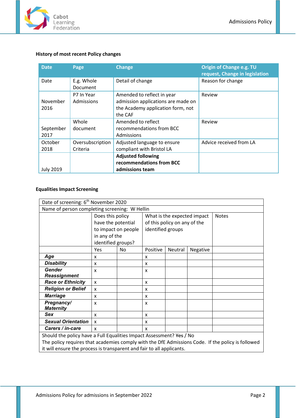

# <span id="page-1-0"></span>**History of most recent Policy changes**

| <b>Date</b>       | Page                         | <b>Change</b>                                                                                                    | <b>Origin of Change e.g. TU</b><br>request, Change in legislation |
|-------------------|------------------------------|------------------------------------------------------------------------------------------------------------------|-------------------------------------------------------------------|
| Date              | E.g. Whole<br>Document       | Detail of change                                                                                                 | Reason for change                                                 |
| November<br>2016  | P7 In Year<br>Admissions     | Amended to reflect in year<br>admission applications are made on<br>the Academy application form, not<br>the CAF | Review                                                            |
| September<br>2017 | Whole<br>document            | Amended to reflect<br>recommendations from BCC<br>Admissions                                                     | Review                                                            |
| October<br>2018   | Oversubscription<br>Criteria | Adjusted language to ensure<br>compliant with Bristol LA                                                         | Advice received from LA                                           |
| <b>July 2019</b>  |                              | <b>Adjusted following</b><br>recommendations from BCC<br>admissions team                                         |                                                                   |

## <span id="page-1-1"></span>**Equalities Impact Screening**

| Date of screening: 6 <sup>th</sup> November 2020                                                  |                           |     |                              |         |              |  |
|---------------------------------------------------------------------------------------------------|---------------------------|-----|------------------------------|---------|--------------|--|
| Name of person completing screening: W Hellin                                                     |                           |     |                              |         |              |  |
|                                                                                                   | Does this policy          |     | What is the expected impact  |         | <b>Notes</b> |  |
|                                                                                                   | have the potential        |     | of this policy on any of the |         |              |  |
|                                                                                                   | to impact on people       |     | identified groups            |         |              |  |
|                                                                                                   | in any of the             |     |                              |         |              |  |
|                                                                                                   | identified groups?        |     |                              |         |              |  |
|                                                                                                   | Yes                       | No. | Positive                     | Neutral | Negative     |  |
| Age                                                                                               | X                         |     | X                            |         |              |  |
| <b>Disability</b>                                                                                 | X                         |     | X                            |         |              |  |
| <b>Gender</b>                                                                                     | X                         |     | X                            |         |              |  |
| <b>Reassignment</b>                                                                               |                           |     |                              |         |              |  |
| <b>Race or Ethnicity</b>                                                                          | X                         |     | X                            |         |              |  |
| <b>Religion or Belief</b>                                                                         | X                         |     | x                            |         |              |  |
| <b>Marriage</b>                                                                                   | X                         |     | X                            |         |              |  |
| Pregnancy/<br><b>Maternity</b>                                                                    | X                         |     | x                            |         |              |  |
| Sex                                                                                               | $\boldsymbol{\mathsf{x}}$ |     | x                            |         |              |  |
| <b>Sexual Orientation</b>                                                                         | $\boldsymbol{\mathsf{x}}$ |     | x                            |         |              |  |
| Carers / in-care                                                                                  | $\boldsymbol{\mathsf{x}}$ |     | x                            |         |              |  |
| Should the policy have a Full Equalities Impact Assessment? Yes / No                              |                           |     |                              |         |              |  |
| The policy requires that academies comply with the DfE Admissions Code. If the policy is followed |                           |     |                              |         |              |  |

it will ensure the process is transparent and fair to all applicants.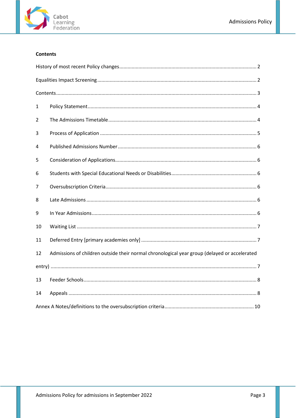

## <span id="page-2-0"></span>**Contents**

| $\mathbf{1}$   |                                                                                              |  |  |  |
|----------------|----------------------------------------------------------------------------------------------|--|--|--|
| $\overline{2}$ |                                                                                              |  |  |  |
| 3              |                                                                                              |  |  |  |
| 4              |                                                                                              |  |  |  |
| 5              |                                                                                              |  |  |  |
| 6              |                                                                                              |  |  |  |
| 7              |                                                                                              |  |  |  |
| 8              |                                                                                              |  |  |  |
| 9              |                                                                                              |  |  |  |
| 10             |                                                                                              |  |  |  |
| 11             |                                                                                              |  |  |  |
| 12             | Admissions of children outside their normal chronological year group (delayed or accelerated |  |  |  |
|                |                                                                                              |  |  |  |
| 13             |                                                                                              |  |  |  |
| 14             |                                                                                              |  |  |  |
|                |                                                                                              |  |  |  |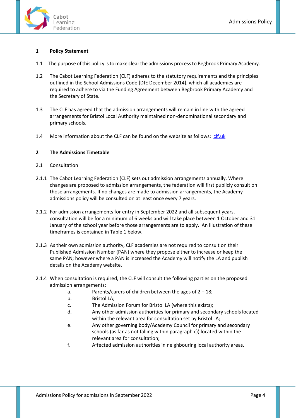

#### <span id="page-3-0"></span>**1 Policy Statement**

- 1.1 The purpose of this policy is to make clear the admissions process to Begbrook Primary Academy.
- 1.2 The Cabot Learning Federation (CLF) adheres to the statutory requirements and the principles outlined in the School Admissions Code [DfE December 2014], which all academies are required to adhere to via the Funding Agreement between Begbrook Primary Academy and the Secretary of State.
- 1.3 The CLF has agreed that the admission arrangements will remain in line with the agreed arrangements for Bristol Local Authority maintained non-denominational secondary and primary schools.
- 1.4 More information about the CLF can be found on the website as follows: [clf.uk](file://clf-fs-001/staffhome$/WHellin/Documents/CLF/Policies/Master%20Policies/Admissions%20Templates%20Sept%202021/clf.uk)

#### <span id="page-3-1"></span>**2 The Admissions Timetable**

- 2.1 Consultation
- 2.1.1 The Cabot Learning Federation (CLF) sets out admission arrangements annually. Where changes are proposed to admission arrangements, the federation will first publicly consult on those arrangements. If no changes are made to admission arrangements, the Academy admissions policy will be consulted on at least once every 7 years.
- 2.1.2 For admission arrangements for entry in September 2022 and all subsequent years, consultation will be for a minimum of 6 weeks and will take place between 1 October and 31 January of the school year before those arrangements are to apply. An illustration of these timeframes is contained in Table 1 below.
- 2.1.3 As their own admission authority, CLF academies are not required to consult on their Published Admission Number (PAN) where they propose either to increase or keep the same PAN; however where a PAN is increased the Academy will notify the LA and publish details on the Academy website.
- 2.1.4 When consultation is required, the CLF will consult the following parties on the proposed admission arrangements:
	- a. Parents/carers of children between the ages of  $2 18$ ;
	- b. Bristol LA;
	- c. The Admission Forum for Bristol LA (where this exists);
	- d. Any other admission authorities for primary and secondary schools located within the relevant area for consultation set by Bristol LA;
	- e. Any other governing body/Academy Council for primary and secondary schools (as far as not falling within paragraph c)) located within the relevant area for consultation;
	- f. Affected admission authorities in neighbouring local authority areas.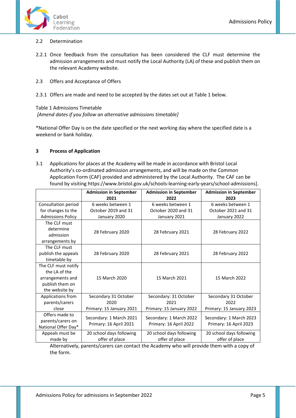

#### 2.2 Determination

- 2.2.1 Once feedback from the consultation has been considered the CLF must determine the admission arrangements and must notify the Local Authority (LA) of these and publish them on the relevant Academy website.
- 2.3 Offers and Acceptance of Offers
- 2.3.1 Offers are made and need to be accepted by the dates set out at Table 1 below.

Table 1 Admissions Timetable

*[Amend dates if you follow an alternative admissions timetable]*

\*National Offer Day is on the date specified or the next working day where the specified date is a weekend or bank holiday.

## <span id="page-4-0"></span>**3 Process of Application**

3.1 Applications for places at the Academy will be made in accordance with Bristol Local Authority's co-ordinated admission arrangements, and will be made on the Common Application Form (CAF) provided and administered by the Local Authority. The CAF can be found by visiting https://www.bristol.gov.uk/schools-learning-early-years/school-admissions].

|                          | <b>Admission in September</b> | <b>Admission in September</b> | <b>Admission in September</b> |  |
|--------------------------|-------------------------------|-------------------------------|-------------------------------|--|
|                          | 2021                          | 2022                          | 2023                          |  |
| Consultation period      | 6 weeks between 1             | 6 weeks between 1             | 6 weeks between 1             |  |
| for changes to the       | October 2019 and 31           | October 2020 and 31           | October 2021 and 31           |  |
| <b>Admissions Policy</b> | January 2020                  | January 2021                  | January 2022                  |  |
| The CLF must             |                               |                               |                               |  |
| determine                |                               | 28 February 2021              | 28 February 2022              |  |
| admission                | 28 February 2020              |                               |                               |  |
| arrangements by          |                               |                               |                               |  |
| The CLF must             |                               |                               |                               |  |
| publish the appeals      | 28 February 2020              | 28 February 2021              | 28 February 2022              |  |
| timetable by             |                               |                               |                               |  |
| The CLF must notify      |                               |                               |                               |  |
| the LA of the            |                               |                               |                               |  |
| arrangements and         | 15 March 2020                 | 15 March 2021                 | 15 March 2022                 |  |
| publish them on          |                               |                               |                               |  |
| the website by           |                               |                               |                               |  |
| Applications from        | Secondary 31 October          | Secondary: 31 October         | Secondary 31 October          |  |
| parents/carers           | 2020                          | 2021                          | 2022                          |  |
| close                    | Primary: 15 January 2021      | Primary: 15 January 2022      | Primary: 15 January 2023      |  |
| Offers made to           | Secondary: 1 March 2021       |                               | Secondary: 1 March 2023       |  |
| parents/carers on        |                               | Secondary: 1 March 2022       |                               |  |
| National Offer Day*      | Primary: 16 April 2021        | Primary: 16 April 2022        | Primary: 16 April 2023        |  |
| Appeals must be          | 20 school days following      | 20 school days following      | 20 school days following      |  |
| made by                  | offer of place                | offer of place                | offer of place                |  |

Alternatively, parents/carers can contact the Academy who will provide them with a copy of the form.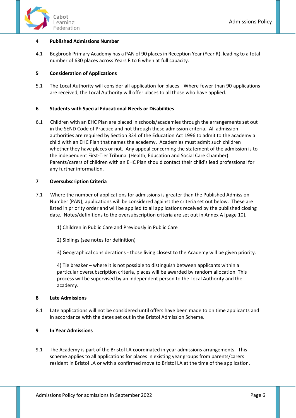

## <span id="page-5-0"></span>**4 Published Admissions Number**

4.1 Begbrook Primary Academy has a PAN of 90 places in Reception Year (Year R), leading to a total number of 630 places across Years R to 6 when at full capacity.

## <span id="page-5-1"></span>**5 Consideration of Applications**

5.1 The Local Authority will consider all application for places. Where fewer than 90 applications are received, the Local Authority will offer places to all those who have applied.

## <span id="page-5-2"></span>**6 Students with Special Educational Needs or Disabilities**

6.1 Children with an EHC Plan are placed in schools/academies through the arrangements set out in the SEND Code of Practice and not through these admission criteria. All admission authorities are required by Section 324 of the Education Act 1996 to admit to the academy a child with an EHC Plan that names the academy. Academies must admit such children whether they have places or not. Any appeal concerning the statement of the admission is to the independent First-Tier Tribunal (Health, Education and Social Care Chamber). Parents/carers of children with an EHC Plan should contact their child's lead professional for any further information.

## <span id="page-5-3"></span>**7 Oversubscription Criteria**

- 7.1 Where the number of applications for admissions is greater than the Published Admission Number (PAN), applications will be considered against the criteria set out below. These are listed in priority order and will be applied to all applications received by the published closing date. Notes/definitions to the oversubscription criteria are set out in Annex A [page 10].
	- 1) Children in Public Care and Previously in Public Care
	- 2) Siblings (see notes for definition)
	- 3) Geographical considerations those living closest to the Academy will be given priority.

4) Tie breaker – where it is not possible to distinguish between applicants within a particular oversubscription criteria, places will be awarded by random allocation. This process will be supervised by an independent person to the Local Authority and the academy.

#### <span id="page-5-4"></span>**8 Late Admissions**

8.1 Late applications will not be considered until offers have been made to on time applicants and in accordance with the dates set out in the Bristol Admission Scheme.

## <span id="page-5-5"></span>**9 In Year Admissions**

9.1 The Academy is part of the Bristol LA coordinated in year admissions arrangements. This scheme applies to all applications for places in existing year groups from parents/carers resident in Bristol LA or with a confirmed move to Bristol LA at the time of the application.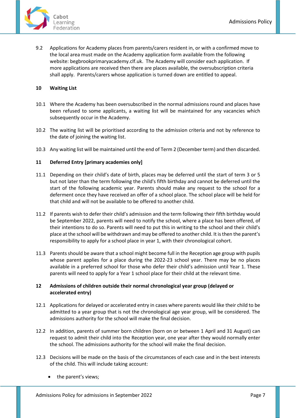

9.2 Applications for Academy places from parents/carers resident in, or with a confirmed move to the local area must made on the Academy application form available from the following website: begbrookprimaryacademy.clf.uk. The Academy will consider each application. If more applications are received then there are places available, the oversubscription criteria shall apply. Parents/carers whose application is turned down are entitled to appeal.

## <span id="page-6-0"></span>**10 Waiting List**

- 10.1 Where the Academy has been oversubscribed in the normal admissions round and places have been refused to some applicants, a waiting list will be maintained for any vacancies which subsequently occur in the Academy.
- 10.2 The waiting list will be prioritised according to the admission criteria and not by reference to the date of joining the waiting list.
- 10.3 Any waiting list will be maintained until the end of Term 2 (December term) and then discarded.

## <span id="page-6-1"></span>**11 Deferred Entry [primary academies only]**

- 11.1 Depending on their child's date of birth, places may be deferred until the start of term 3 or 5 but not later than the term following the child's fifth birthday and cannot be deferred until the start of the following academic year. Parents should make any request to the school for a deferment once they have received an offer of a school place. The school place will be held for that child and will not be available to be offered to another child.
- 11.2 If parents wish to defer their child's admission and the term following their fifth birthday would be September 2022, parents will need to notify the school, where a place has been offered, of their intentions to do so. Parents will need to put this in writing to the school and their child's place at the school will be withdrawn and may be offered to another child. It is then the parent's responsibility to apply for a school place in year 1, with their chronological cohort.
- 11.3 Parents should be aware that a school might become full in the Reception age group with pupils whose parent applies for a place during the 2022-23 school year. There may be no places available in a preferred school for those who defer their child's admission until Year 1. These parents will need to apply for a Year 1 school place for their child at the relevant time.

## <span id="page-6-2"></span>**12 Admissions of children outside their normal chronological year group (delayed or accelerated entry)**

- 12.1 Applications for delayed or accelerated entry in cases where parents would like their child to be admitted to a year group that is not the chronological age year group, will be considered. The admissions authority for the school will make the final decision.
- 12.2 In addition, parents of summer born children (born on or between 1 April and 31 August) can request to admit their child into the Reception year, one year after they would normally enter the school. The admissions authority for the school will make the final decision.
- 12.3 Decisions will be made on the basis of the circumstances of each case and in the best interests of the child. This will include taking account:
	- the parent's views;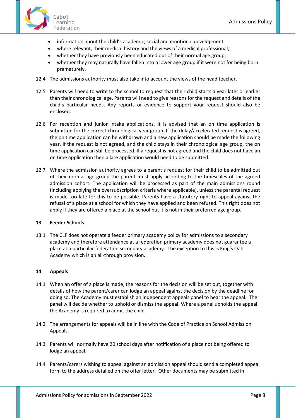

- information about the child's academic, social and emotional development;
- where relevant, their medical history and the views of a medical professional;
- whether they have previously been educated out of their normal age group;
- whether they may naturally have fallen into a lower age group if it were not for being born prematurely.
- 12.4 The admissions authority must also take into account the views of the head teacher.
- 12.5 Parents will need to write to the school to request that their child starts a year later or earlier than their chronological age. Parents will need to give reasons for the request and details of the child's particular needs. Any reports or evidence to support your request should also be enclosed.
- 12.6 For reception and junior intake applications, it is advised that an on time application is submitted for the correct chronological year group. If the delay/accelerated request is agreed, the on time application can be withdrawn and a new application should be made the following year. If the request is not agreed, and the child stays in their chronological age group, the on time application can still be processed. If a request is not agreed and the child does not have an on time application then a late application would need to be submitted.
- 12.7 Where the admission authority agrees to a parent's request for their child to be admitted out of their normal age group the parent must apply according to the timescales of the agreed admission cohort. The application will be processed as part of the main admissions round (including applying the oversubscription criteria where applicable), unless the parental request is made too late for this to be possible. Parents have a statutory right to appeal against the refusal of a place at a school for which they have applied and been refused. This right does not apply if they are offered a place at the school but it is not in their preferred age group.

#### <span id="page-7-0"></span>**13 Feeder Schools**

13.1 The CLF does not operate a feeder primary academy policy for admissions to a secondary academy and therefore attendance at a federation primary academy does not guarantee a place at a particular federation secondary academy. The exception to this is King's Oak Academy which is an all-through provision.

#### <span id="page-7-1"></span>**14 Appeals**

- 14.1 When an offer of a place is made, the reasons for the decision will be set out, together with details of how the parent/carer can lodge an appeal against the decision by the deadline for doing so. The Academy must establish an independent appeals panel to hear the appeal. The panel will decide whether to uphold or dismiss the appeal. Where a panel upholds the appeal the Academy is required to admit the child.
- 14.2 The arrangements for appeals will be in line with the Code of Practice on School Admission Appeals.
- 14.3 Parents will normally have 20 school days after notification of a place not being offered to lodge an appeal.
- 14.4 Parents/carers wishing to appeal against an admission appeal should send a completed appeal form to the address detailed on the offer letter. Other documents may be submitted in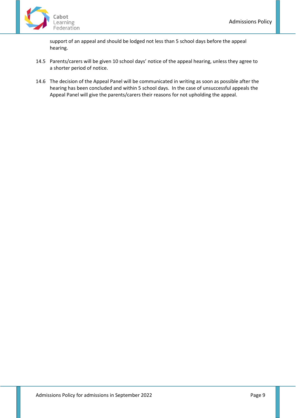

support of an appeal and should be lodged not less than 5 school days before the appeal hearing.

- 14.5 Parents/carers will be given 10 school days' notice of the appeal hearing, unless they agree to a shorter period of notice.
- 14.6 The decision of the Appeal Panel will be communicated in writing as soon as possible after the hearing has been concluded and within 5 school days. In the case of unsuccessful appeals the Appeal Panel will give the parents/carers their reasons for not upholding the appeal.